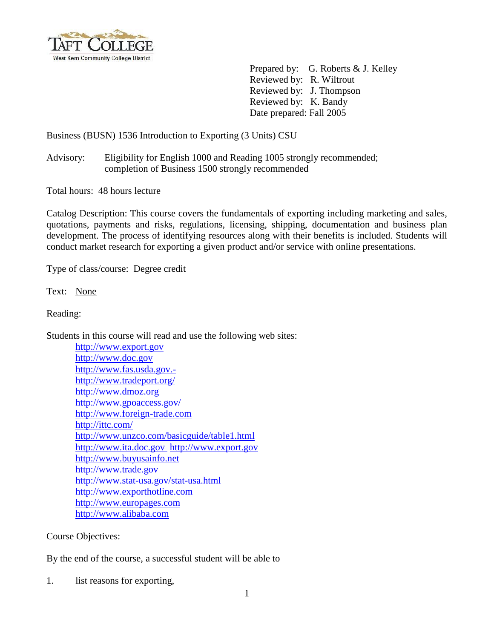

Prepared by: G. Roberts & J. Kelley Reviewed by: R. Wiltrout Reviewed by: J. Thompson Reviewed by: K. Bandy Date prepared: Fall 2005

### Business (BUSN) 1536 Introduction to Exporting (3 Units) CSU

Advisory: Eligibility for English 1000 and Reading 1005 strongly recommended; completion of Business 1500 strongly recommended

Total hours: 48 hours lecture

Catalog Description: This course covers the fundamentals of exporting including marketing and sales, quotations, payments and risks, regulations, licensing, shipping, documentation and business plan development. The process of identifying resources along with their benefits is included. Students will conduct market research for exporting a given product and/or service with online presentations.

Type of class/course: Degree credit

Text: None

Reading:

Students in this course will read and use the following web sites:

[http://www.export.gov](http://www.export.gov/) [http://www.doc.gov](http://www.doc.gov/) [http://www.fas.usda.gov.](http://www.fas.usda.gov.-/) <http://www.tradeport.org/> [http://www.dmoz.org](http://www.dmoz.org/) <http://www.gpoaccess.gov/> [http://www.foreign-trade.com](http://www.foreign-trade.com/) <http://ittc.com/> <http://www.unzco.com/basicguide/table1.html> [http://www.ita.doc.gov](http://www.ita.doc.gov/) [http://www.export.gov](http://www.export.gov/) [http://www.buyusainfo.net](http://www.buyusainfo.net/)  [http://www.trade.gov](http://www.trade.gov/)  <http://www.stat-usa.gov/stat-usa.html> [http://www.exporthotline.com](http://www.exporthotline.com/) [http://www.europages.com](http://www.europages.com/) [http://www.alibaba.com](http://www.alibaba.com/)

Course Objectives:

By the end of the course, a successful student will be able to

1. list reasons for exporting,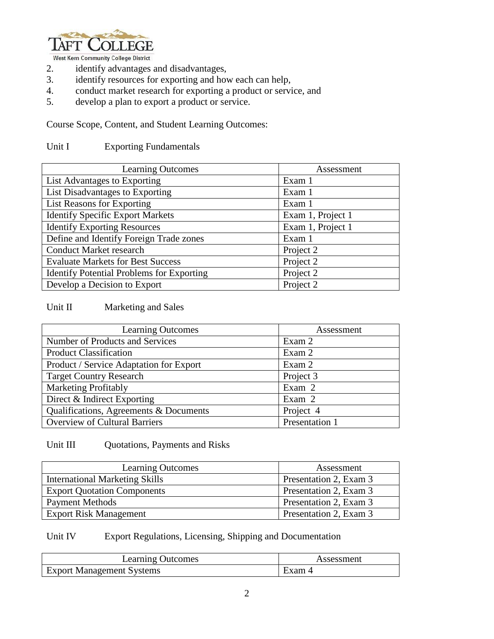

West Kern Community College District

- 2. identify advantages and disadvantages,
- 3. identify resources for exporting and how each can help,
- 4. conduct market research for exporting a product or service, and
- 5. develop a plan to export a product or service.

Course Scope, Content, and Student Learning Outcomes:

### Unit I Exporting Fundamentals

| <b>Learning Outcomes</b>                         | Assessment        |
|--------------------------------------------------|-------------------|
| List Advantages to Exporting                     | Exam 1            |
| List Disadvantages to Exporting                  | Exam 1            |
| List Reasons for Exporting                       | Exam 1            |
| <b>Identify Specific Export Markets</b>          | Exam 1, Project 1 |
| <b>Identify Exporting Resources</b>              | Exam 1, Project 1 |
| Define and Identify Foreign Trade zones          | Exam 1            |
| <b>Conduct Market research</b>                   | Project 2         |
| <b>Evaluate Markets for Best Success</b>         | Project 2         |
| <b>Identify Potential Problems for Exporting</b> | Project 2         |
| Develop a Decision to Export                     | Project 2         |

### Unit II Marketing and Sales

| <b>Learning Outcomes</b>                | Assessment     |
|-----------------------------------------|----------------|
| Number of Products and Services         | Exam 2         |
| <b>Product Classification</b>           | Exam 2         |
| Product / Service Adaptation for Export | Exam 2         |
| <b>Target Country Research</b>          | Project 3      |
| <b>Marketing Profitably</b>             | Exam 2         |
| Direct & Indirect Exporting             | Exam 2         |
| Qualifications, Agreements & Documents  | Project 4      |
| <b>Overview of Cultural Barriers</b>    | Presentation 1 |

### Unit III Quotations, Payments and Risks

| <b>Learning Outcomes</b>              | Assessment             |
|---------------------------------------|------------------------|
| <b>International Marketing Skills</b> | Presentation 2, Exam 3 |
| <b>Export Quotation Components</b>    | Presentation 2, Exam 3 |
| <b>Payment Methods</b>                | Presentation 2, Exam 3 |
| <b>Export Risk Management</b>         | Presentation 2, Exam 3 |

# Unit IV Export Regulations, Licensing, Shipping and Documentation

| <b>Learning Outcomes</b>         | Assessment |
|----------------------------------|------------|
| <b>Export Management Systems</b> | Exam 4     |